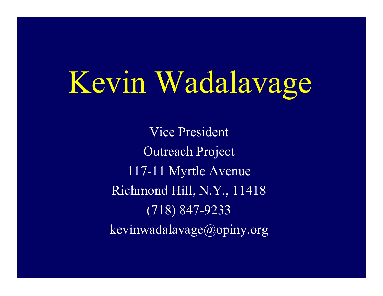## Kevin Wadalavage

Vice President Outreach Project 117-11 Myrtle Avenue Richmond Hill, N.Y., 11418 (718) 847-9233 kevinwada lavage@opiny.org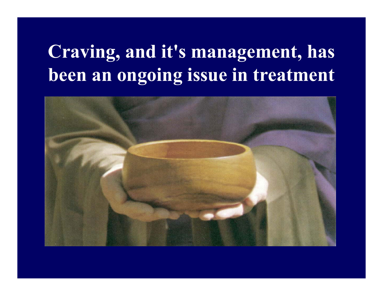### **Craving, and it's management, has been an ongoing issue in treatment**

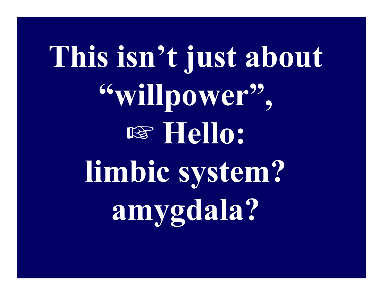## **This isn't just about "willpower", Hello: limbic system? amygdala?**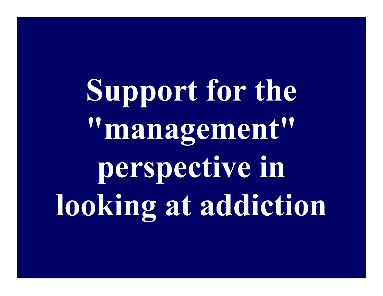Support for the **"management" perspective in looking at addiction**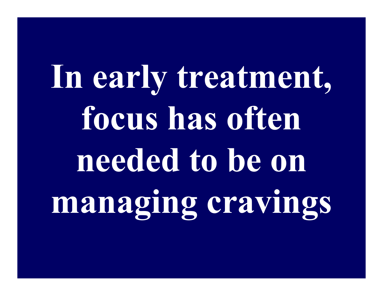**In early treatment, focus has often needed to be on managing cravings**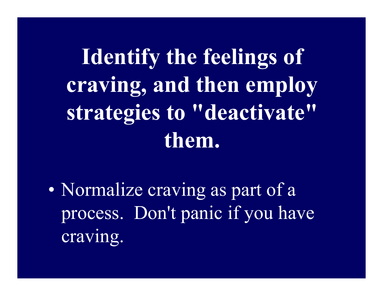**Identify the feelings of craving, and then employ strategies to "deactivate" them.**

 $\bullet$ • Normalize craving as part of a process. Don't panic if you have craving.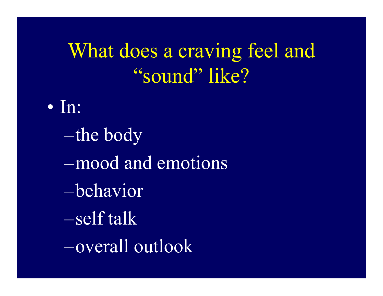What does a craving feel and "sound" like?

 $\bullet$ In:

> the body mood and emotions behavior self talk –overall outlook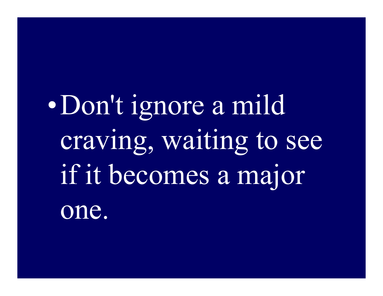•Don't ignore a mild craving, waiting to see if it becomes a major one.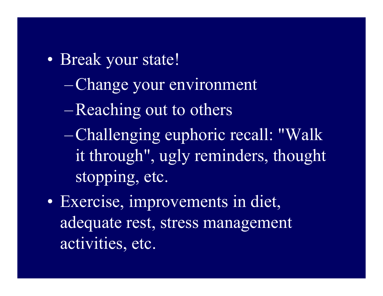- $\bullet$  Break your state!
	- –Change your environment
	- –Reaching out to others
	- –Challenging euphoric recall: "Walk it through", ugly reminders, thought stopping, etc.
- $\bullet$  Exercise, improvements in diet, adequate rest, stress management activities, etc.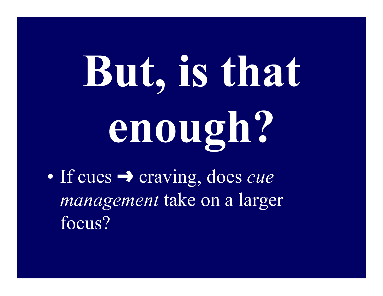## But, is that enough?

 $\bullet$ • If cues  $\rightarrow$  craving, does *cue managemen<sup>t</sup>* take on a larger focus?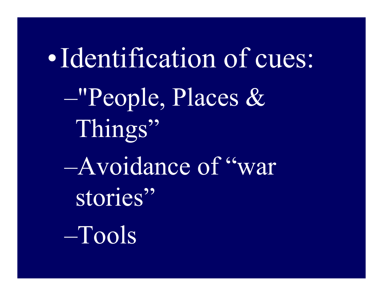•Identification of cues: –"People, Places & Things" –Avoidance of "war stories" –Tools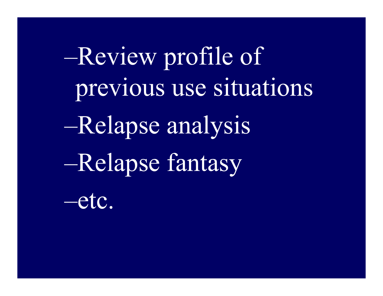–Review profile of previous use situations –Relapse analysis –Relapse fantasy –etc.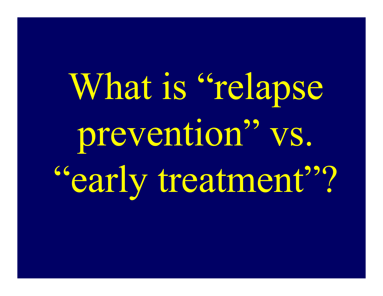What is "relapse prevention" vs. "early treatment"?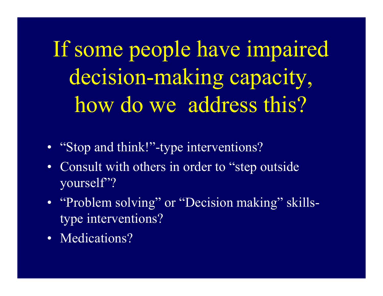If some people have impaired decision-making capacity, how do we address this?

- "Stop and think!"-type interventions?
- Consult with others in order to "step outside yourself"?
- "Problem solving" or "Decision making" skillstype interventions?
- Medications?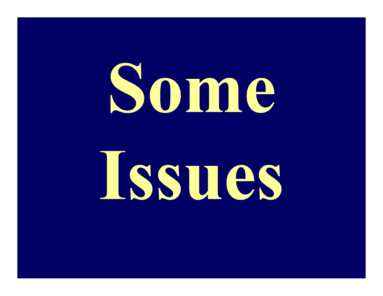# Some

## ISSUes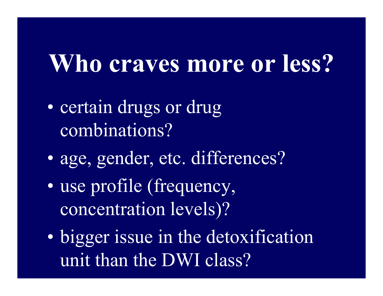### **Who craves more or less?**

- $\bullet$ • certain drugs or drug combinations?
- $\bullet$ age, gender, etc. differences?
- $\bullet$ • use profile (frequency, concentration levels)?
- $\bullet$ • bigger issue in the detoxification unit than the DWI class?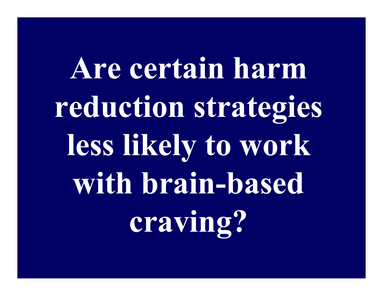**Are certain harm reduction strategies less likely to work with brain-based craving?**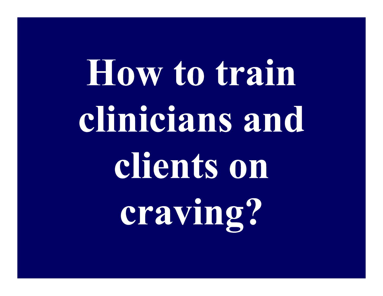How to train clinicians and clients on craving?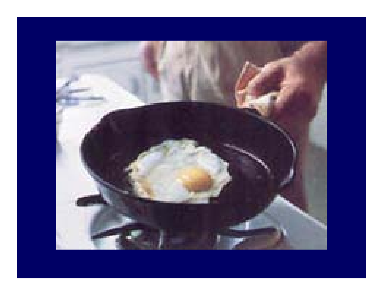